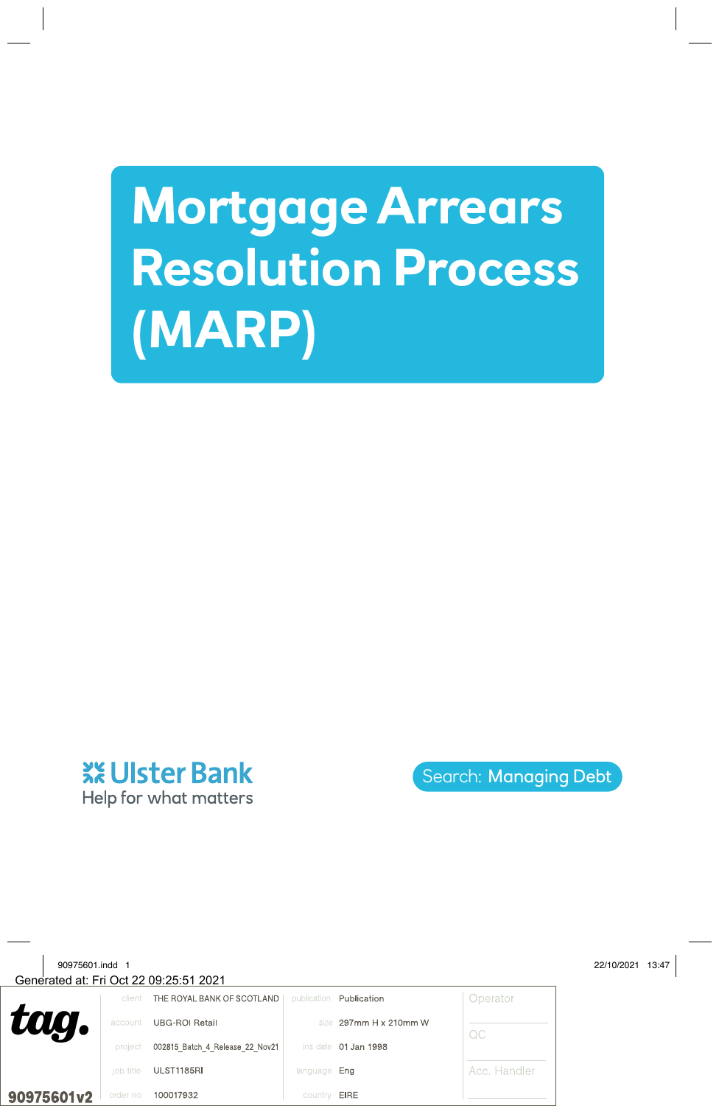# **Mortgage Arrears Resolution Process (MARP)**



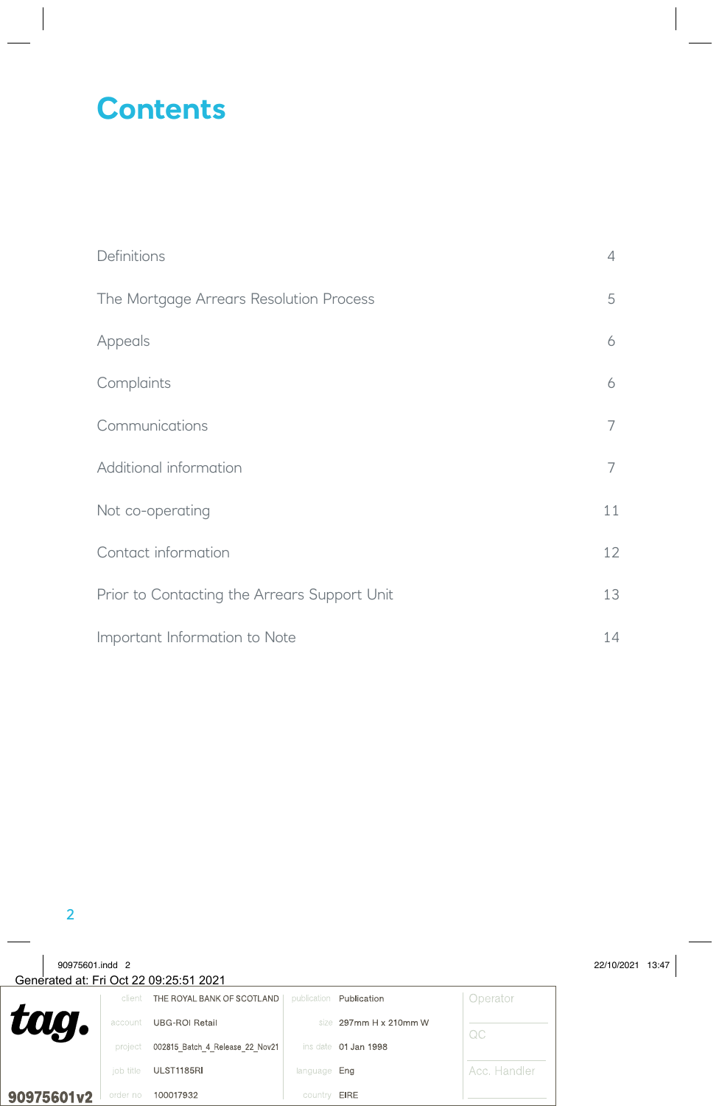## **Contents**

| Definitions                                  | 4  |
|----------------------------------------------|----|
| The Mortgage Arrears Resolution Process      | 5  |
| Appeals                                      | 6  |
| Complaints                                   | 6  |
| Communications                               | 7  |
| Additional information                       | 7  |
| Not co-operating                             | 11 |
| Contact information                          | 12 |
| Prior to Contacting the Arrears Support Unit | 13 |
| Important Information to Note                | 14 |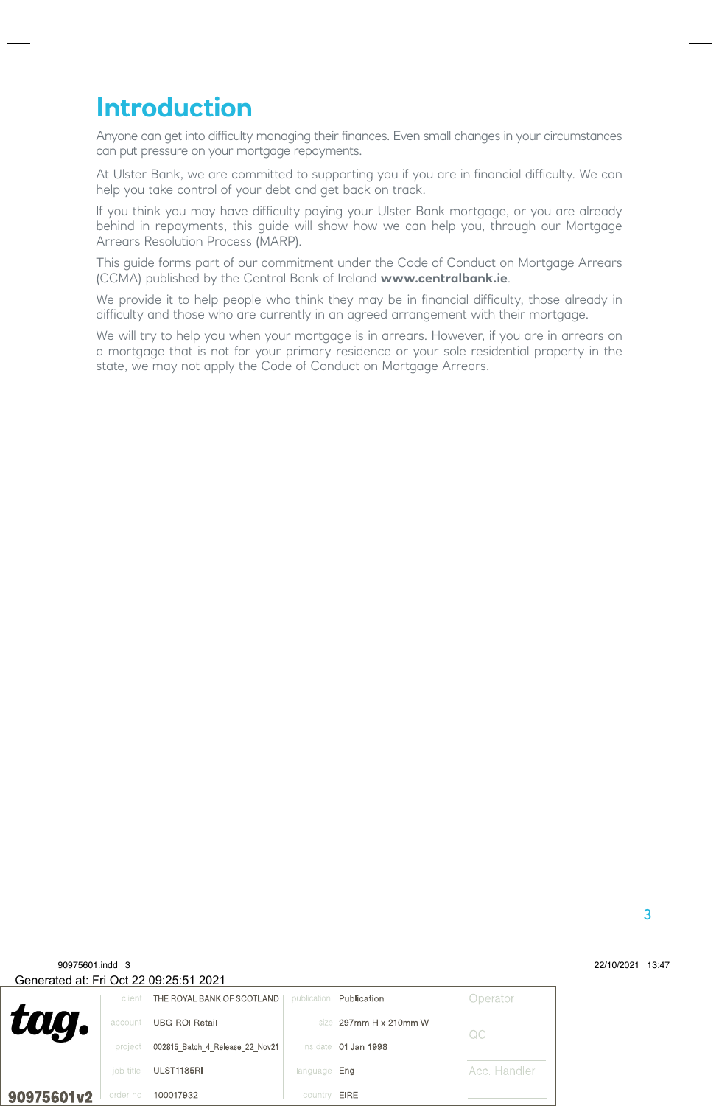### **Introduction**

Anyone can get into difficulty managing their finances. Even small changes in your circumstances can put pressure on your mortgage repayments.

At Ulster Bank, we are committed to supporting you if you are in financial difficulty. We can help you take control of your debt and get back on track.

If you think you may have difficulty paying your Ulster Bank mortgage, or you are already behind in repayments, this guide will show how we can help you, through our Mortgage Arrears Resolution Process (MARP).

This guide forms part of our commitment under the Code of Conduct on Mortgage Arrears (CCMA) published by the Central Bank of Ireland **www.centralbank.ie**.

We provide it to help people who think they may be in financial difficulty, those already in difficulty and those who are currently in an agreed arrangement with their mortgage.

We will try to help you when your mortgage is in arrears. However, if you are in arrears on a mortgage that is not for your primary residence or your sole residential property in the state, we may not apply the Code of Conduct on Mortgage Arrears.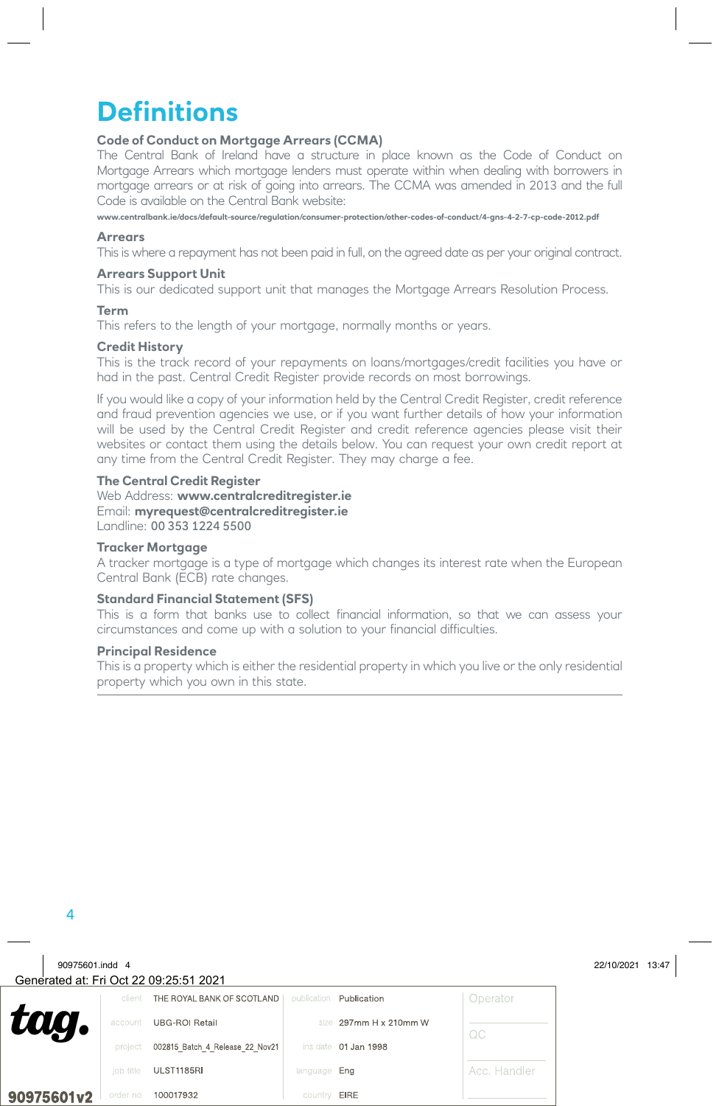### **Definitions**

#### **Code of Conduct on Mortgage Arrears (CCMA)**

The Central Bank of Ireland have a structure in place known as the Code of Conduct on Mortgage Arrears which mortgage lenders must operate within when dealing with borrowers in mortgage arrears or at risk of going into arrears. The CCMA was amended in 2013 and the full Code is available on the Central Bank website:

**www.centralbank.ie/docs/default-source/regulation/consumer-protection/other-codes-of-conduct/4-gns-4-2-7-cp-code-2012.pdf**

#### **Arrears**

This is where a repayment has not been paid in full, on the agreed date as per your original contract.

#### **Arrears Support Unit**

This is our dedicated support unit that manages the Mortgage Arrears Resolution Process.

#### **Term**

This refers to the length of your mortgage, normally months or years.

#### **Credit History**

This is the track record of your repayments on loans/mortgages/credit facilities you have or had in the past. Central Credit Register provide records on most borrowings.

If you would like a copy of your information held by the Central Credit Register, credit reference and fraud prevention agencies we use, or if you want further details of how your information will be used by the Central Credit Register and credit reference agencies please visit their websites or contact them using the details below. You can request your own credit report at any time from the Central Credit Register. They may charge a fee.

#### **The Central Credit Register**

Web Address: **www.centralcreditregister.ie** Email: **myrequest@centralcreditregister.ie** Landline: 00 353 1224 5500

#### **Tracker Mortgage**

A tracker mortgage is a type of mortgage which changes its interest rate when the European Central Bank (ECB) rate changes.

#### **Standard Financial Statement (SFS)**

This is a form that banks use to collect financial information, so that we can assess your circumstances and come up with a solution to your financial difficulties.

#### **Principal Residence**

This is a property which is either the residential property in which you live or the only residential property which you own in this state.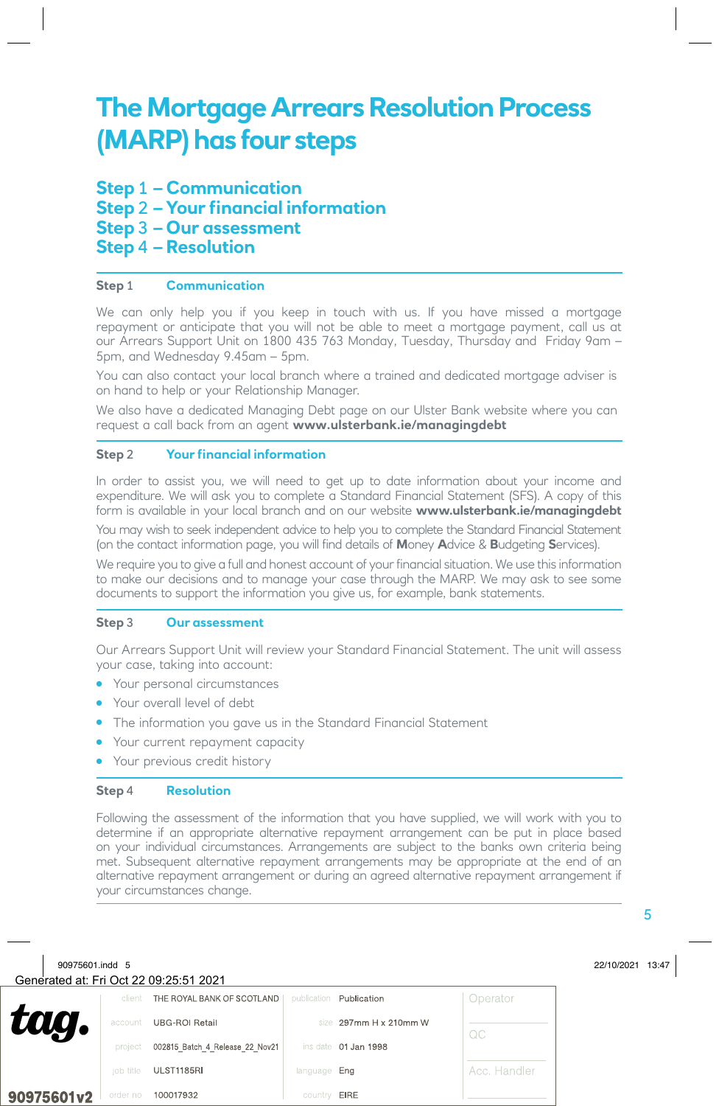### **The Mortgage Arrears Resolution Process (MARP) has four steps**

**Step** 1 **– Communication Step** 2 **– Your financial information Step** 3 **– Our assessment Step** 4 **– Resolution** 

#### **Step** 1 **Communication**

We can only help you if you keep in touch with us. If you have missed a mortgage repayment or anticipate that you will not be able to meet a mortgage payment, call us at our Arrears Support Unit on 1800 435 763 Monday, Tuesday, Thursday and Friday 9am – 5pm, and Wednesday 9.45am – 5pm.

You can also contact your local branch where a trained and dedicated mortgage adviser is on hand to help or your Relationship Manager.

We also have a dedicated Managing Debt page on our Ulster Bank website where you can request a call back from an agent **www.ulsterbank.ie/managingdebt**

#### **Step** 2 **Your financial information**

In order to assist you, we will need to get up to date information about your income and expenditure. We will ask you to complete a Standard Financial Statement (SFS). A copy of this form is available in your local branch and on our website **www.ulsterbank.ie/managingdebt**

You may wish to seek independent advice to help you to complete the Standard Financial Statement (on the contact information page, you will find details of **M**oney **A**dvice & **B**udgeting **S**ervices).

We require you to give a full and honest account of your financial situation. We use this information to make our decisions and to manage your case through the MARP. We may ask to see some documents to support the information you give us, for example, bank statements.

#### **Step** 3 **Our assessment**

Our Arrears Support Unit will review your Standard Financial Statement. The unit will assess your case, taking into account:

- Your personal circumstances
- Your overall level of debt
- The information you gave us in the Standard Financial Statement
- Your current repayment capacity
- Your previous credit history

#### **Step** 4 **Resolution**

Following the assessment of the information that you have supplied, we will work with you to determine if an appropriate alternative repayment arrangement can be put in place based on your individual circumstances. Arrangements are subject to the banks own criteria being met. Subsequent alternative repayment arrangements may be appropriate at the end of an alternative repayment arrangement or during an agreed alternative repayment arrangement if your circumstances change.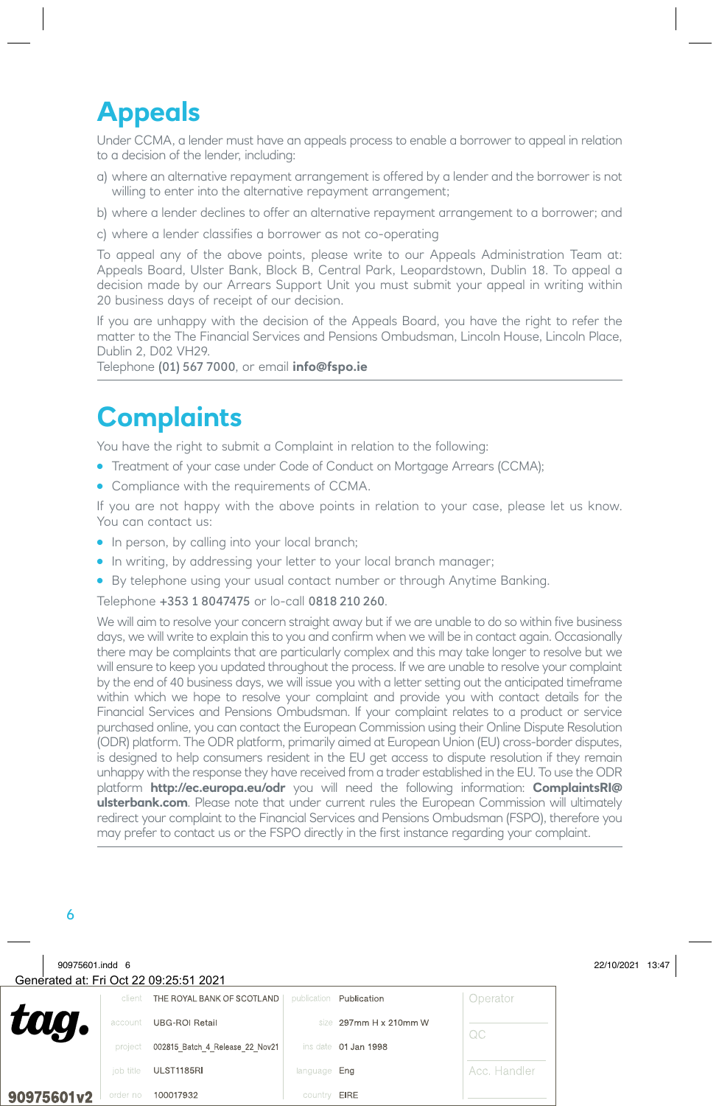# **Appeals**

Under CCMA, a lender must have an appeals process to enable a borrower to appeal in relation to a decision of the lender, including:

- a) where an alternative repayment arrangement is offered by a lender and the borrower is not willing to enter into the alternative repayment arrangement;
- b) where a lender declines to offer an alternative repayment arrangement to a borrower; and
- c) where a lender classifies a borrower as not co-operating

To appeal any of the above points, please write to our Appeals Administration Team at: Appeals Board, Ulster Bank, Block B, Central Park, Leopardstown, Dublin 18. To appeal a decision made by our Arrears Support Unit you must submit your appeal in writing within 20 business days of receipt of our decision.

If you are unhappy with the decision of the Appeals Board, you have the right to refer the matter to the The Financial Services and Pensions Ombudsman, Lincoln House, Lincoln Place, Dublin 2, D02 VH29.

Telephone (01) 567 7000, or email **info@fspo.ie**

### **Complaints**

You have the right to submit a Complaint in relation to the following:

- Treatment of your case under Code of Conduct on Mortgage Arrears (CCMA);
- Compliance with the requirements of CCMA.

If you are not happy with the above points in relation to your case, please let us know. You can contact us:

- In person, by calling into your local branch;
- In writing, by addressing your letter to your local branch manager;
- By telephone using your usual contact number or through Anytime Banking.

#### Telephone +353 1 8047475 or lo-call 0818 210 260.

We will aim to resolve your concern straight away but if we are unable to do so within five business days, we will write to explain this to you and confirm when we will be in contact again. Occasionally there may be complaints that are particularly complex and this may take longer to resolve but we will ensure to keep you updated throughout the process. If we are unable to resolve your complaint by the end of 40 business days, we will issue you with a letter setting out the anticipated timeframe within which we hope to resolve your complaint and provide you with contact details for the Financial Services and Pensions Ombudsman. If your complaint relates to a product or service purchased online, you can contact the European Commission using their Online Dispute Resolution (ODR) platform. The ODR platform, primarily aimed at European Union (EU) cross-border disputes, is designed to help consumers resident in the EU get access to dispute resolution if they remain unhappy with the response they have received from a trader established in the EU. To use the ODR platform **http://ec.europa.eu/odr** you will need the following information: **ComplaintsRI@ ulsterbank.com**. Please note that under current rules the European Commission will ultimately redirect your complaint to the Financial Services and Pensions Ombudsman (FSPO), therefore you may prefer to contact us or the FSPO directly in the first instance regarding your complaint.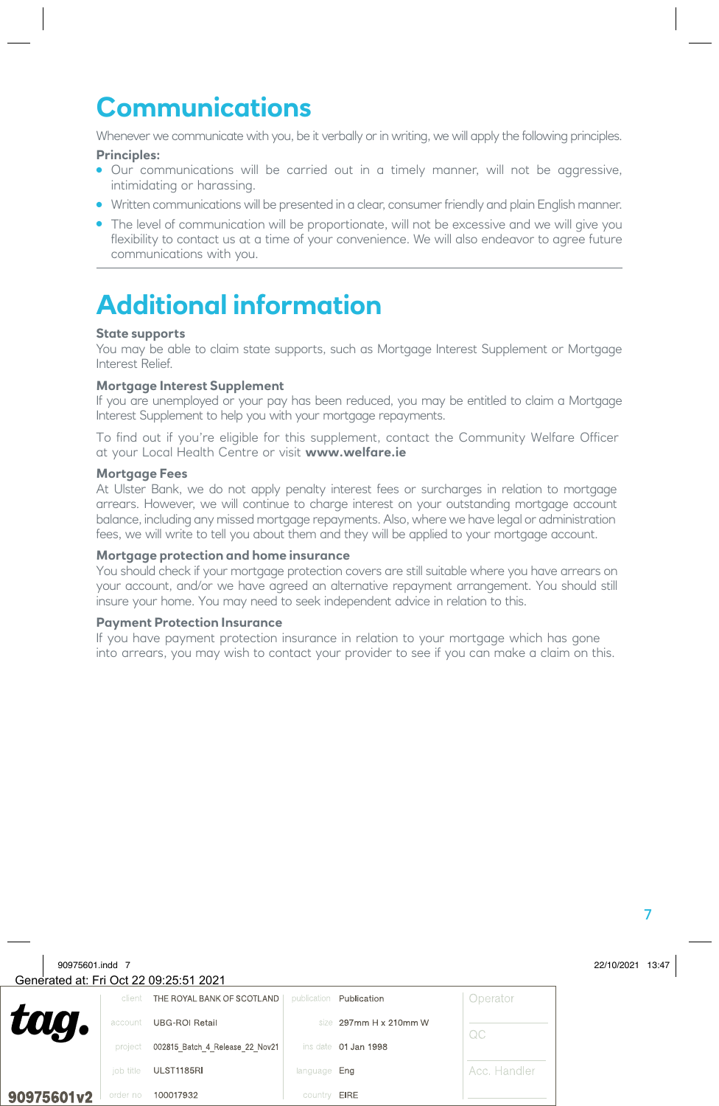# **Communications**

Whenever we communicate with you, be it verbally or in writing, we will apply the following principles.

#### **Principles:**

- Our communications will be carried out in a timely manner, will not be aggressive, intimidating or harassing.
- Written communications will be presented in a clear, consumer friendly and plain English manner.
- The level of communication will be proportionate, will not be excessive and we will give you flexibility to contact us at a time of your convenience. We will also endeavor to agree future communications with you.

# **Additional information**

#### **State supports**

You may be able to claim state supports, such as Mortgage Interest Supplement or Mortgage Interest Relief.

#### **Mortgage Interest Supplement**

If you are unemployed or your pay has been reduced, you may be entitled to claim a Mortgage Interest Supplement to help you with your mortgage repayments.

To find out if you're eligible for this supplement, contact the Community Welfare Officer at your Local Health Centre or visit **www.welfare.ie**

#### **Mortgage Fees**

At Ulster Bank, we do not apply penalty interest fees or surcharges in relation to mortgage arrears. However, we will continue to charge interest on your outstanding mortgage account balance, including any missed mortgage repayments. Also, where we have legal or administration fees, we will write to tell you about them and they will be applied to your mortgage account.

#### **Mortgage protection and home insurance**

You should check if your mortgage protection covers are still suitable where you have arrears on your account, and/or we have agreed an alternative repayment arrangement. You should still insure your home. You may need to seek independent advice in relation to this.

#### **Payment Protection Insurance**

If you have payment protection insurance in relation to your mortgage which has gone into arrears, you may wish to contact your provider to see if you can make a claim on this.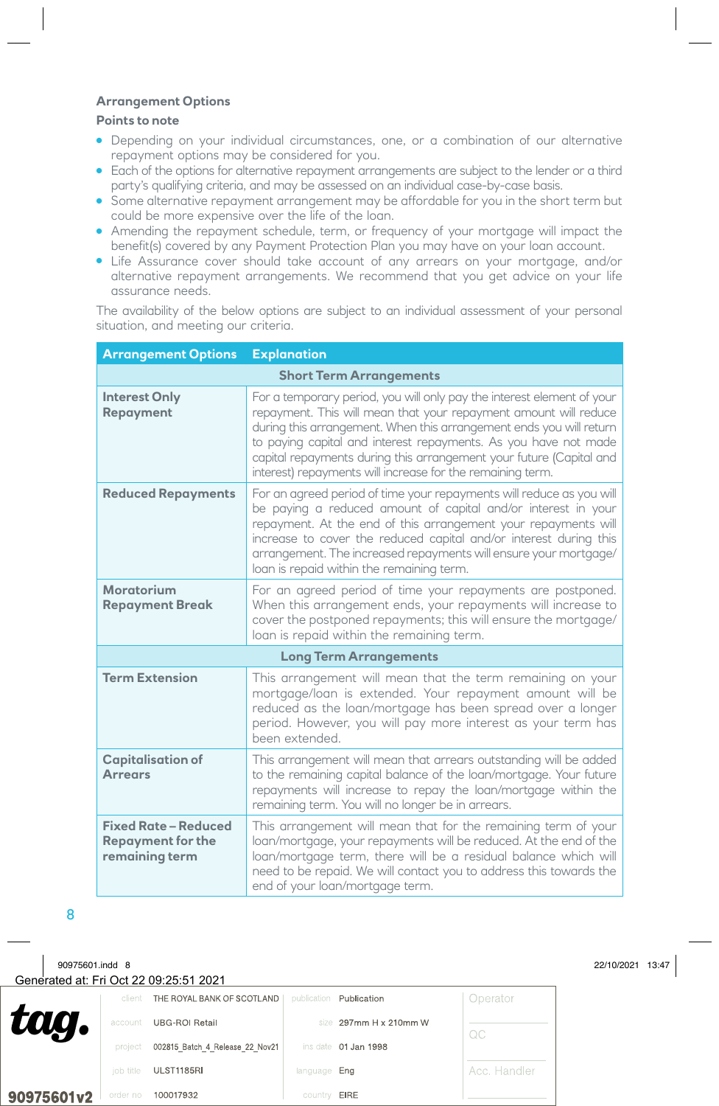#### **Arrangement Options**

#### **Points to note**

- Depending on your individual circumstances, one, or a combination of our alternative repayment options may be considered for you.
- Each of the options for alternative repayment arrangements are subject to the lender or a third party's qualifying criteria, and may be assessed on an individual case-by-case basis.
- Some alternative repayment arrangement may be affordable for you in the short term but could be more expensive over the life of the loan.
- Amending the repayment schedule, term, or frequency of your mortgage will impact the benefit(s) covered by any Payment Protection Plan you may have on your loan account.
- Life Assurance cover should take account of any arrears on your mortgage, and/or alternative repayment arrangements. We recommend that you get advice on your life assurance needs.

The availability of the below options are subject to an individual assessment of your personal situation, and meeting our criteria.

| <b>Arrangement Options</b>                                                | <b>Explanation</b>                                                                                                                                                                                                                                                                                                                                                                                                        |  |  |  |  |
|---------------------------------------------------------------------------|---------------------------------------------------------------------------------------------------------------------------------------------------------------------------------------------------------------------------------------------------------------------------------------------------------------------------------------------------------------------------------------------------------------------------|--|--|--|--|
| <b>Short Term Arrangements</b>                                            |                                                                                                                                                                                                                                                                                                                                                                                                                           |  |  |  |  |
| <b>Interest Only</b><br><b>Repayment</b>                                  | For a temporary period, you will only pay the interest element of your<br>repayment. This will mean that your repayment amount will reduce<br>during this arrangement. When this arrangement ends you will return<br>to paying capital and interest repayments. As you have not made<br>capital repayments during this arrangement your future (Capital and<br>interest) repayments will increase for the remaining term. |  |  |  |  |
| <b>Reduced Repayments</b>                                                 | For an agreed period of time your repayments will reduce as you will<br>be paying a reduced amount of capital and/or interest in your<br>repayment. At the end of this arrangement your repayments will<br>increase to cover the reduced capital and/or interest during this<br>arrangement. The increased repayments will ensure your mortgage/<br>loan is repaid within the remaining term.                             |  |  |  |  |
| Moratorium<br><b>Repayment Break</b>                                      | For an agreed period of time your repayments are postponed.<br>When this arrangement ends, your repayments will increase to<br>cover the postponed repayments; this will ensure the mortgage/<br>loan is repaid within the remaining term.                                                                                                                                                                                |  |  |  |  |
|                                                                           | <b>Long Term Arrangements</b>                                                                                                                                                                                                                                                                                                                                                                                             |  |  |  |  |
| <b>Term Extension</b>                                                     | This arrangement will mean that the term remaining on your<br>mortgage/loan is extended. Your repayment amount will be<br>reduced as the loan/mortgage has been spread over a longer<br>period. However, you will pay more interest as your term has<br>been extended.                                                                                                                                                    |  |  |  |  |
| <b>Capitalisation of</b><br><b>Arrears</b>                                | This arrangement will mean that arrears outstanding will be added<br>to the remaining capital balance of the loan/mortgage. Your future<br>repayments will increase to repay the loan/mortgage within the<br>remaining term. You will no longer be in arrears.                                                                                                                                                            |  |  |  |  |
| <b>Fixed Rate - Reduced</b><br><b>Repayment for the</b><br>remaining term | This arrangement will mean that for the remaining term of your<br>loan/mortgage, your repayments will be reduced. At the end of the<br>loan/mortgage term, there will be a residual balance which will<br>need to be repaid. We will contact you to address this towards the<br>end of your loan/mortgage term.                                                                                                           |  |  |  |  |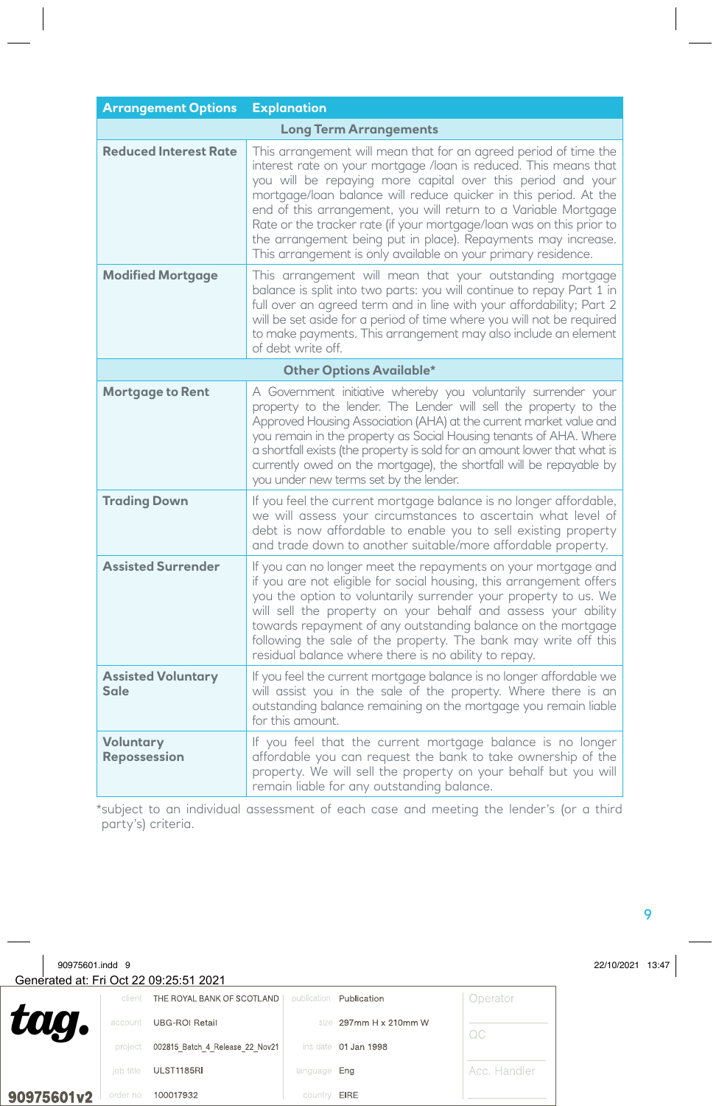| <b>Arrangement Options</b>        | <b>Explanation</b>                                                                                                                                                                                                                                                                                                                                                                                                                                                                                                                                   |  |  |  |  |
|-----------------------------------|------------------------------------------------------------------------------------------------------------------------------------------------------------------------------------------------------------------------------------------------------------------------------------------------------------------------------------------------------------------------------------------------------------------------------------------------------------------------------------------------------------------------------------------------------|--|--|--|--|
| <b>Long Term Arrangements</b>     |                                                                                                                                                                                                                                                                                                                                                                                                                                                                                                                                                      |  |  |  |  |
| <b>Reduced Interest Rate</b>      | This arrangement will mean that for an agreed period of time the<br>interest rate on your mortgage /loan is reduced. This means that<br>you will be repaying more capital over this period and your<br>mortgage/loan balance will reduce quicker in this period. At the<br>end of this arrangement, you will return to a Variable Mortgage<br>Rate or the tracker rate (if your mortgage/loan was on this prior to<br>the arrangement being put in place). Repayments may increase.<br>This arrangement is only available on your primary residence. |  |  |  |  |
| <b>Modified Mortgage</b>          | This arrangement will mean that your outstanding mortgage<br>balance is split into two parts: you will continue to repay Part 1 in<br>full over an agreed term and in line with your affordability; Part 2<br>will be set aside for a period of time where you will not be required<br>to make payments. This arrangement may also include an element<br>of debt write off.                                                                                                                                                                          |  |  |  |  |
|                                   | <b>Other Options Available*</b>                                                                                                                                                                                                                                                                                                                                                                                                                                                                                                                      |  |  |  |  |
| <b>Mortgage to Rent</b>           | A Government initiative whereby you voluntarily surrender your<br>property to the lender. The Lender will sell the property to the<br>Approved Housing Association (AHA) at the current market value and<br>you remain in the property as Social Housing tenants of AHA. Where<br>a shortfall exists (the property is sold for an amount lower that what is<br>currently owed on the mortgage), the shortfall will be repayable by<br>you under new terms set by the lender.                                                                         |  |  |  |  |
| <b>Trading Down</b>               | If you feel the current mortgage balance is no longer affordable,<br>we will assess your circumstances to ascertain what level of<br>debt is now affordable to enable you to sell existing property<br>and trade down to another suitable/more affordable property.                                                                                                                                                                                                                                                                                  |  |  |  |  |
| <b>Assisted Surrender</b>         | If you can no longer meet the repayments on your mortgage and<br>if you are not eligible for social housing, this arrangement offers<br>you the option to voluntarily surrender your property to us. We<br>will sell the property on your behalf and assess your ability<br>towards repayment of any outstanding balance on the mortgage<br>following the sale of the property. The bank may write off this<br>residual balance where there is no ability to repay.                                                                                  |  |  |  |  |
| <b>Assisted Voluntary</b><br>Sale | If you feel the current mortgage balance is no longer affordable we<br>will assist you in the sale of the property. Where there is an<br>outstanding balance remaining on the mortgage you remain liable<br>for this amount.                                                                                                                                                                                                                                                                                                                         |  |  |  |  |
| Voluntary<br><b>Repossession</b>  | If you feel that the current mortgage balance is no longer<br>affordable you can request the bank to take ownership of the<br>property. We will sell the property on your behalf but you will<br>remain liable for any outstanding balance.                                                                                                                                                                                                                                                                                                          |  |  |  |  |

\* subject to an individual assessment of each case and meeting the lender's (or a third party's) criteria.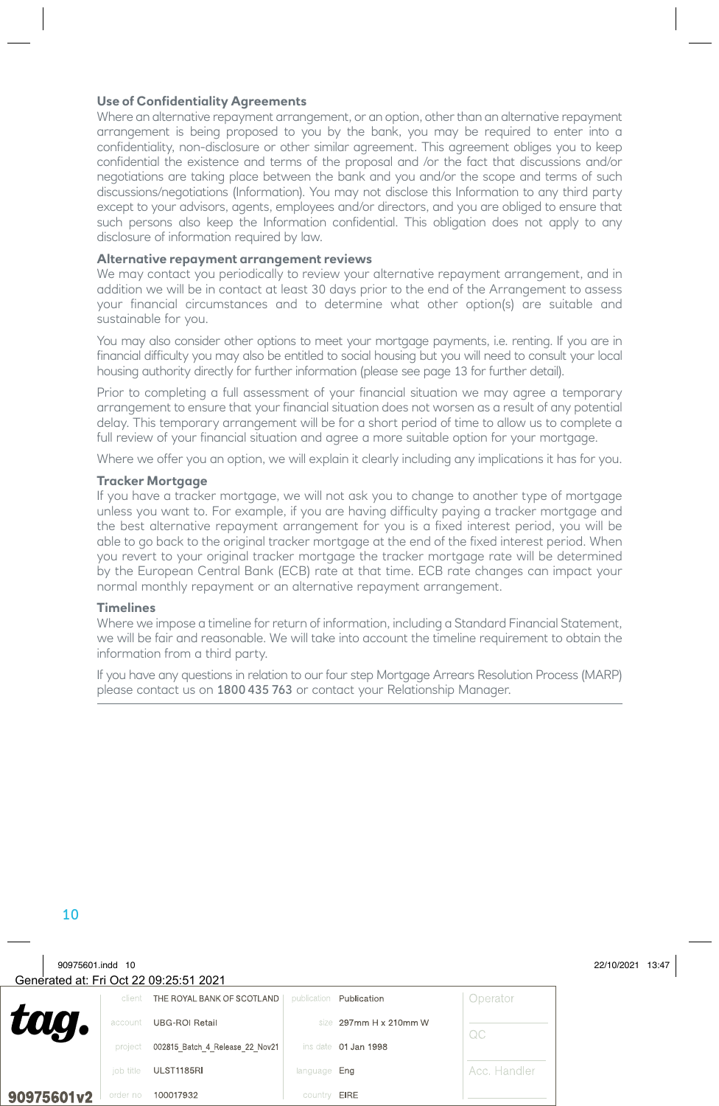#### **Use of Confidentiality Agreements**

Where an alternative repayment arrangement, or an option, other than an alternative repayment arrangement is being proposed to you by the bank, you may be required to enter into a confidentiality, non-disclosure or other similar agreement. This agreement obliges you to keep confidential the existence and terms of the proposal and /or the fact that discussions and/or negotiations are taking place between the bank and you and/or the scope and terms of such discussions/negotiations (Information). You may not disclose this Information to any third party except to your advisors, agents, employees and/or directors, and you are obliged to ensure that such persons also keep the Information confidential. This obligation does not apply to any disclosure of information required by law.

#### **Alternative repayment arrangement reviews**

We may contact you periodically to review your alternative repayment arrangement, and in addition we will be in contact at least 30 days prior to the end of the Arrangement to assess your financial circumstances and to determine what other option(s) are suitable and sustainable for you.

You may also consider other options to meet your mortgage payments, i.e. renting. If you are in financial difficulty you may also be entitled to social housing but you will need to consult your local housing authority directly for further information (please see page 13 for further detail).

Prior to completing a full assessment of your financial situation we may agree a temporary arrangement to ensure that your financial situation does not worsen as a result of any potential delay. This temporary arrangement will be for a short period of time to allow us to complete a full review of your financial situation and agree a more suitable option for your mortgage.

Where we offer you an option, we will explain it clearly including any implications it has for you.

#### **Tracker Mortgage**

If you have a tracker mortgage, we will not ask you to change to another type of mortgage unless you want to. For example, if you are having difficulty paying a tracker mortgage and the best alternative repayment arrangement for you is a fixed interest period, you will be able to go back to the original tracker mortgage at the end of the fixed interest period. When you revert to your original tracker mortgage the tracker mortgage rate will be determined by the European Central Bank (ECB) rate at that time. ECB rate changes can impact your normal monthly repayment or an alternative repayment arrangement.

#### **Timelines**

Where we impose a timeline for return of information, including a Standard Financial Statement, we will be fair and reasonable. We will take into account the timeline requirement to obtain the information from a third party.

If you have any questions in relation to our four step Mortgage Arrears Resolution Process (MARP) please contact us on 1800 435 763 or contact your Relationship Manager.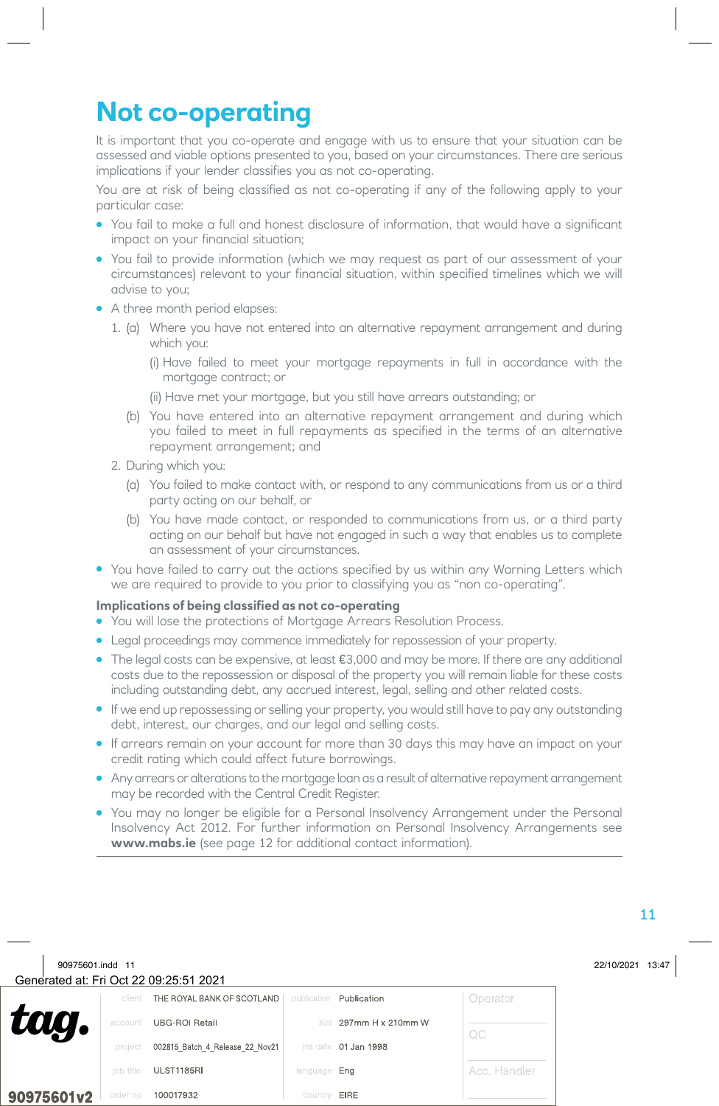# **Not co-operating**

It is important that you co-operate and engage with us to ensure that your situation can be assessed and viable options presented to you, based on your circumstances. There are serious implications if your lender classifies you as not co-operating.

You are at risk of being classified as not co-operating if any of the following apply to your particular case:

- You fail to make a full and honest disclosure of information, that would have a significant impact on your financial situation;
- You fail to provide information (which we may request as part of our assessment of your circumstances) relevant to your financial situation, within specified timelines which we will advise to you;
- A three month period elapses:
	- 1. (a) Where you have not entered into an alternative repayment arrangement and during which you:
		- (i) Have failed to meet your mortgage repayments in full in accordance with the mortgage contract; or
		- (ii) Have met your mortgage, but you still have arrears outstanding; or
		- (b) You have entered into an alternative repayment arrangement and during which you failed to meet in full repayments as specified in the terms of an alternative repayment arrangement; and
	- 2. During which you:
		- (a) You failed to make contact with, or respond to any communications from us or a third party acting on our behalf, or
		- (b) You have made contact, or responded to communications from us, or a third party acting on our behalf but have not engaged in such a way that enables us to complete an assessment of your circumstances.
- You have failed to carry out the actions specified by us within any Warning Letters which we are required to provide to you prior to classifying you as "non co-operating".

#### **Implications of being classified as not co-operating**

- You will lose the protections of Mortgage Arrears Resolution Process.
- Legal proceedings may commence immediately for repossession of your property.
- $\bullet$  The legal costs can be expensive, at least  $\epsilon$ 3,000 and may be more. If there are any additional costs due to the repossession or disposal of the property you will remain liable for these costs including outstanding debt, any accrued interest, legal, selling and other related costs.
- If we end up repossessing or selling your property, you would still have to pay any outstanding debt, interest, our charges, and our legal and selling costs.
- If arrears remain on your account for more than 30 days this may have an impact on your credit rating which could affect future borrowings.
- Any arrears or alterations to the mortgage loan as a result of alternative repayment arrangement may be recorded with the Central Credit Register.
- You may no longer be eligible for a Personal Insolvency Arrangement under the Personal Insolvency Act 2012. For further information on Personal Insolvency Arrangements see **www.mabs.ie** (see page 12 for additional contact information).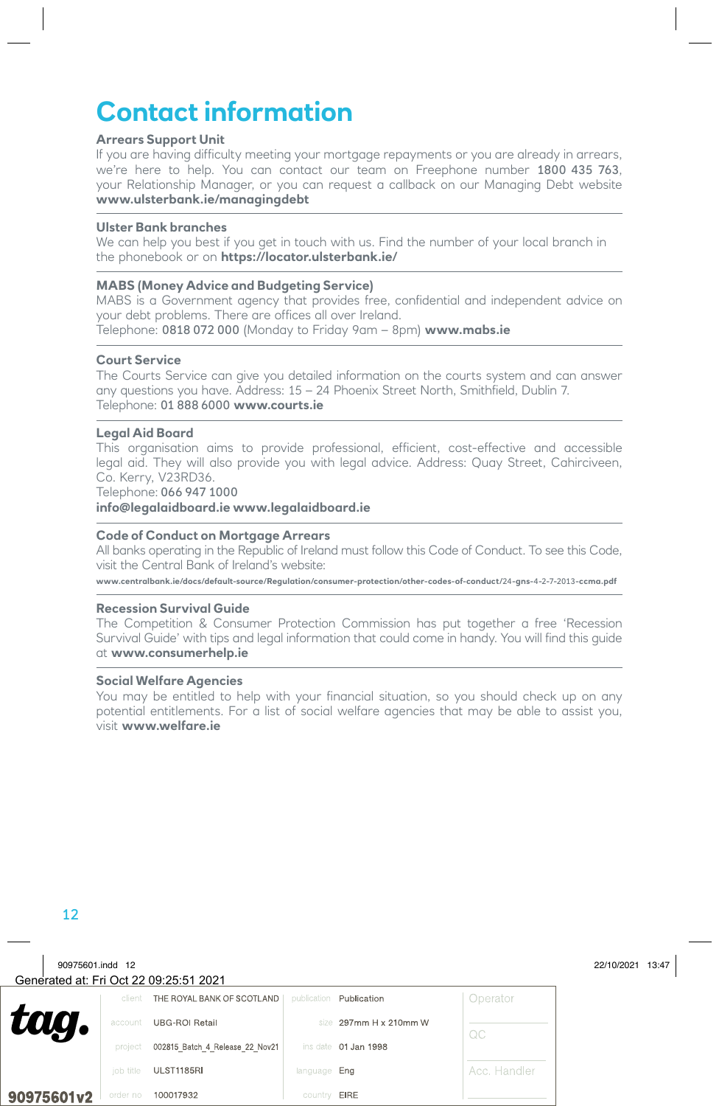### **Contact information**

#### **Arrears Support Unit**

If you are having difficulty meeting your mortgage repayments or you are already in arrears, we're here to help. You can contact our team on Freephone number 1800 435 763, your Relationship Manager, or you can request a callback on our Managing Debt website **www.ulsterbank.ie/managingdebt**

#### **Ulster Bank branches**

We can help you best if you get in touch with us. Find the number of your local branch in the phonebook or on **https://locator.ulsterbank.ie/**

#### **MABS (Money Advice and Budgeting Service)**

MABS is a Government agency that provides free, confidential and independent advice on your debt problems. There are offices all over Ireland. Telephone: 0818 072 000 (Monday to Friday 9am – 8pm) **www.mabs.ie**

#### **Court Service**

The Courts Service can give you detailed information on the courts system and can answer any questions you have. Address: 15 – 24 Phoenix Street North, Smithfield, Dublin 7. Telephone: 01 888 6000 **www.courts.ie**

#### **Legal Aid Board**

This organisation aims to provide professional, efficient, cost-effective and accessible legal aid. They will also provide you with legal advice. Address: Quay Street, Cahirciveen, Co. Kerry, V23RD36.

Telephone: 066 947 1000

**info@legalaidboard.ie www.legalaidboard.ie**

#### **Code of Conduct on Mortgage Arrears**

All banks operating in the Republic of Ireland must follow this Code of Conduct. To see this Code, visit the Central Bank of Ireland's website:

**www.centralbank.ie/docs/default-source/Regulation/consumer-protection/other-codes-of-conduct/**24**-gns-**4**-**2**-**7**-**2013**-ccma.pdf**

#### **Recession Survival Guide**

The Competition & Consumer Protection Commission has put together a free 'Recession Survival Guide' with tips and legal information that could come in handy. You will find this guide at **www.consumerhelp.ie**

#### **Social Welfare Agencies**

You may be entitled to help with your financial situation, so you should check up on any potential entitlements. For a list of social welfare agencies that may be able to assist you, visit **www.welfare.ie**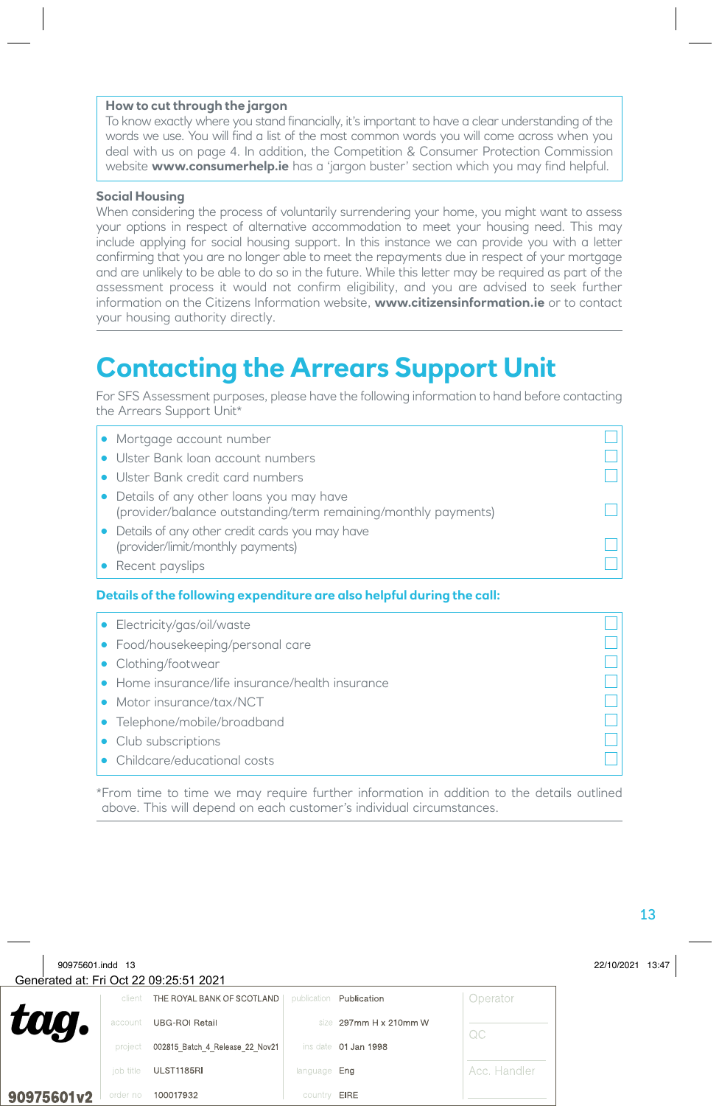#### **How to cut through the jargon**

To know exactly where you stand financially, it's important to have a clear understanding of the words we use. You will find a list of the most common words you will come across when you deal with us on page 4. In addition, the Competition & Consumer Protection Commission website **www.consumerhelp.ie** has a 'jargon buster' section which you may find helpful.

#### **Social Housing**

When considering the process of voluntarily surrendering your home, you might want to assess your options in respect of alternative accommodation to meet your housing need. This may include applying for social housing support. In this instance we can provide you with a letter confirming that you are no longer able to meet the repayments due in respect of your mortgage and are unlikely to be able to do so in the future. While this letter may be required as part of the assessment process it would not confirm eligibility, and you are advised to seek further information on the Citizens Information website, **www.citizensinformation.ie** or to contact your housing authority directly.

### **Contacting the Arrears Support Unit**

For SFS Assessment purposes, please have the following information to hand before contacting the Arrears Support Unit\*

| • Mortgage account number                                                                                   |  |
|-------------------------------------------------------------------------------------------------------------|--|
| • Ulster Bank loan account numbers                                                                          |  |
| • Ulster Bank credit card numbers                                                                           |  |
| • Details of any other loans you may have<br>(provider/balance outstanding/term remaining/monthly payments) |  |
| • Details of any other credit cards you may have<br>(provider/limit/monthly payments)                       |  |
| • Recent payslips                                                                                           |  |

#### **Details of the following expenditure are also helpful during the call:**

| • Electricity/gas/oil/waste                      |  |
|--------------------------------------------------|--|
| • Food/housekeeping/personal care                |  |
| • Clothing/footwear                              |  |
| • Home insurance/life insurance/health insurance |  |
| • Motor insurance/tax/NCT                        |  |
| • Telephone/mobile/broadband                     |  |
| • Club subscriptions                             |  |
| • Childcare/educational costs                    |  |

\* From time to time we may require further information in addition to the details outlined above. This will depend on each customer's individual circumstances.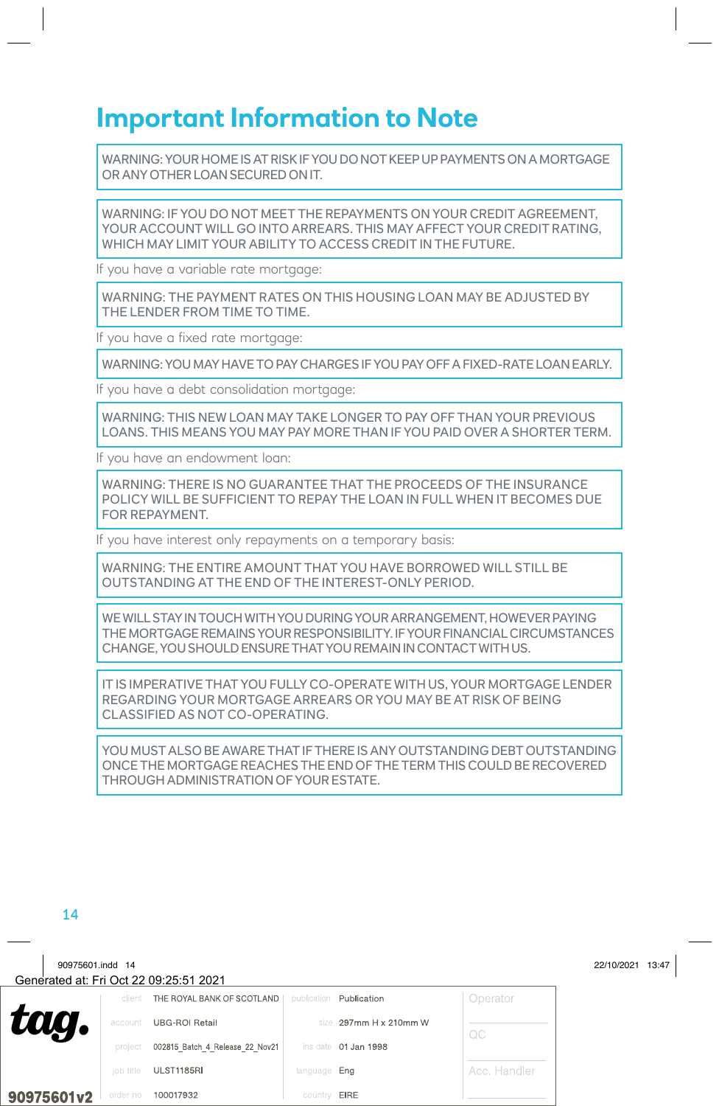### **Important Information to Note**

WARNING: YOUR HOME IS AT RISK IF YOU DO NOT KEEP UP PAYMENTS ON A MORTGAGE OR ANY OTHER LOAN SECURED ON IT.

WARNING: IF YOU DO NOT MEET THE REPAYMENTS ON YOUR CREDIT AGREEMENT, YOUR ACCOUNT WILL GO INTO ARREARS. THIS MAY AFFECT YOUR CREDIT RATING, WHICH MAY LIMIT YOUR ABILITY TO ACCESS CREDIT IN THE FUTURE.

If you have a variable rate mortgage:

WARNING: THE PAYMENT RATES ON THIS HOUSING LOAN MAY BE ADJUSTED BY THE LENDER FROM TIME TO TIME.

If you have a fixed rate mortgage:

WARNING: YOU MAY HAVE TO PAY CHARGES IF YOU PAY OFF A FIXED-RATE LOAN EARLY.

If you have a debt consolidation mortgage:

WARNING: THIS NEW LOAN MAY TAKE LONGER TO PAY OFF THAN YOUR PREVIOUS LOANS. THIS MEANS YOU MAY PAY MORE THAN IF YOU PAID OVER A SHORTER TERM.

If you have an endowment loan:

WARNING: THERE IS NO GUARANTEE THAT THE PROCEEDS OF THE INSURANCE POLICY WILL BE SUFFICIENT TO REPAY THE LOAN IN FULL WHEN IT BECOMES DUE FOR REPAYMENT.

If you have interest only repayments on a temporary basis:

WARNING: THE ENTIRE AMOUNT THAT YOU HAVE BORROWED WILL STILL BE OUTSTANDING AT THE END OF THE INTEREST-ONLY PERIOD.

WE WILL STAY IN TOUCH WITH YOU DURING YOUR ARRANGEMENT, HOWEVER PAYING THE MORTGAGE REMAINS YOUR RESPONSIBILITY. IF YOUR FINANCIAL CIRCUMSTANCES CHANGE, YOU SHOULD ENSURE THAT YOU REMAIN IN CONTACT WITH US.

IT IS IMPERATIVE THAT YOU FULLY CO-OPERATE WITH US, YOUR MORTGAGE LENDER REGARDING YOUR MORTGAGE ARREARS OR YOU MAY BE AT RISK OF BEING CLASSIFIED AS NOT CO-OPERATING.

YOU MUST ALSO BE AWARE THAT IF THERE IS ANY OUTSTANDING DEBT OUTSTANDING ONCE THE MORTGAGE REACHES THE END OF THE TERM THIS COULD BE RECOVERED THROUGH ADMINISTRATION OF YOUR ESTATE.